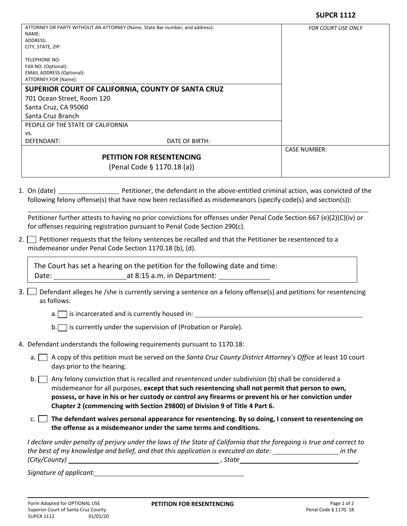| ATTORNEY OR PARTY WITHOUT AN ATTORNEY (Name, State Bar number, and address):<br>NAME: | <b>FOR COURT USE ONLY</b> |
|---------------------------------------------------------------------------------------|---------------------------|
| ADDRESS:                                                                              |                           |
| CITY, STATE, ZIP:                                                                     |                           |
|                                                                                       |                           |
| <b>TELEPHONE NO:</b>                                                                  |                           |
| FAX NO. (Optional):                                                                   |                           |
| <b>EMAIL ADDRESS (Optional):</b>                                                      |                           |
| ATTORNEY FOR (Name):                                                                  |                           |
| SUPERIOR COURT OF CALIFORNIA, COUNTY OF SANTA CRUZ                                    |                           |
| 701 Ocean Street, Room 120                                                            |                           |
| Santa Cruz, CA 95060                                                                  |                           |
| Santa Cruz Branch                                                                     |                           |
| PEOPLE OF THE STATE OF CALIFORNIA                                                     |                           |
| VS.                                                                                   |                           |
| DEFENDANT:<br>DATE OF BIRTH:                                                          |                           |
|                                                                                       | <b>CASE NUMBER:</b>       |
| <b>PETITION FOR RESENTENCING</b>                                                      |                           |
| (Penal Code § 1170.18 (a))                                                            |                           |
|                                                                                       |                           |

1. On (date) \_\_\_\_\_\_\_\_\_\_\_\_\_\_\_\_\_\_\_\_\_\_ Petitioner, the defendant in the above-entitled criminal action, was convicted of the following felony offense(s) that have now been reclassified as misdemeanors (specify code(s) and section(s)):

Petitioner further attests to having no prior convictions for offenses under Penal Code Section 667 (e)(2)(C)(iv) or for offenses requiring registration pursuant to Penal Code Section 290(c).

2. Petitioner requests that the felony sentences be recalled and that the Petitioner be resentenced to a misdemeanor under Penal Code Section 1170.18 (b), (d).

The Court has set a hearing on the petition for the following date and time: Date: at 8:15 a.m. in Department:

3.  $\Box$  Defendant alleges he /she is currently serving a sentence on a felony offense(s) and petitions for resentencing as follows:

 $a.$  is incarcerated and is currently housed in:

 $b.$  is currently under the supervision of (Probation or Parole).

- 4. Defendant understands the following requirements pursuant to 1170.18:
	- a. A copy of this petition must be served on the *Santa Cruz County District Attorney's Office* at least 10 court days prior to the hearing.
	- b.  $\Box$  Any felony conviction that is recalled and resentenced under subdivision (b) shall be considered a misdemeanor for all purposes, **except that such resentencing shall not permit that person to own, possess, or have in his or her custody or control any firearms or prevent his or her conviction under Chapter 2 (commencing with Section 29800) of Division 9 of Title 4 Part 6.**
	- c. **The defendant waives personal appearance for resentencing. By so doing, I consent to resentencing on the offense as a misdemeanor under the same terms and conditions.**

| I declare under penalty of perjury under the laws of the State of California that the foregoing is true and correct to |       |        |
|------------------------------------------------------------------------------------------------------------------------|-------|--------|
| the best of my knowledge and belief, and that this application is executed on date:                                    |       | in the |
| (City/County)                                                                                                          | State |        |

*Signature of applicant:*